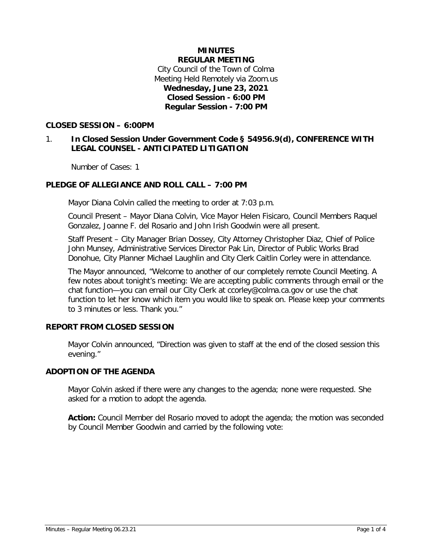## **MINUTES REGULAR MEETING** City Council of the Town of Colma Meeting Held Remotely via Zoom.us **Wednesday, June 23, 2021 Closed Session - 6:00 PM Regular Session - 7:00 PM**

## **CLOSED SESSION – 6:00PM**

# 1. **In Closed Session Under Government Code § 54956.9(d), CONFERENCE WITH LEGAL COUNSEL - ANTICIPATED LITIGATION**

Number of Cases: 1

## **PLEDGE OF ALLEGIANCE AND ROLL CALL – 7:00 PM**

Mayor Diana Colvin called the meeting to order at 7:03 p.m.

Council Present – Mayor Diana Colvin, Vice Mayor Helen Fisicaro, Council Members Raquel Gonzalez, Joanne F. del Rosario and John Irish Goodwin were all present.

Staff Present – City Manager Brian Dossey, City Attorney Christopher Diaz, Chief of Police John Munsey, Administrative Services Director Pak Lin, Director of Public Works Brad Donohue, City Planner Michael Laughlin and City Clerk Caitlin Corley were in attendance.

The Mayor announced, "Welcome to another of our completely remote Council Meeting. A few notes about tonight's meeting: We are accepting public comments through email or the chat function—you can email our City Clerk at ccorley@colma.ca.gov or use the chat function to let her know which item you would like to speak on. Please keep your comments to 3 minutes or less. Thank you."

## **REPORT FROM CLOSED SESSION**

Mayor Colvin announced, "Direction was given to staff at the end of the closed session this evening."

## **ADOPTION OF THE AGENDA**

Mayor Colvin asked if there were any changes to the agenda; none were requested. She asked for a motion to adopt the agenda.

**Action:** Council Member del Rosario moved to adopt the agenda; the motion was seconded by Council Member Goodwin and carried by the following vote: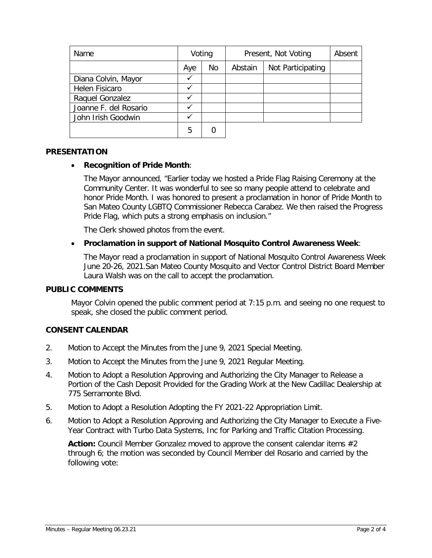| Name                  | Voting |    | Present, Not Voting |                   | Absent |
|-----------------------|--------|----|---------------------|-------------------|--------|
|                       | Aye    | No | Abstain             | Not Participating |        |
| Diana Colvin, Mayor   | ✓      |    |                     |                   |        |
| Helen Fisicaro        | ✓      |    |                     |                   |        |
| Raquel Gonzalez       |        |    |                     |                   |        |
| Joanne F. del Rosario |        |    |                     |                   |        |
| John Irish Goodwin    |        |    |                     |                   |        |
|                       | 5      |    |                     |                   |        |

## **PRESENTATION**

## • **Recognition of Pride Month**:

The Mayor announced, "Earlier today we hosted a Pride Flag Raising Ceremony at the Community Center. It was wonderful to see so many people attend to celebrate and honor Pride Month. I was honored to present a proclamation in honor of Pride Month to San Mateo County LGBTQ Commissioner Rebecca Carabez. We then raised the Progress Pride Flag, which puts a strong emphasis on inclusion."

The Clerk showed photos from the event.

## • **Proclamation in support of National Mosquito Control Awareness Week**:

The Mayor read a proclamation in support of National Mosquito Control Awareness Week June 20-26, 2021.San Mateo County Mosquito and Vector Control District Board Member Laura Walsh was on the call to accept the proclamation.

#### **PUBLIC COMMENTS**

Mayor Colvin opened the public comment period at 7:15 p.m. and seeing no one request to speak, she closed the public comment period.

## **CONSENT CALENDAR**

- 2. Motion to Accept the Minutes from the June 9, 2021 Special Meeting.
- 3. Motion to Accept the Minutes from the June 9, 2021 Regular Meeting.
- 4. Motion to Adopt a Resolution Approving and Authorizing the City Manager to Release a Portion of the Cash Deposit Provided for the Grading Work at the New Cadillac Dealership at 775 Serramonte Blvd.
- 5. Motion to Adopt a Resolution Adopting the FY 2021-22 Appropriation Limit.
- 6. Motion to Adopt a Resolution Approving and Authorizing the City Manager to Execute a Five-Year Contract with Turbo Data Systems, Inc for Parking and Traffic Citation Processing.

**Action:** Council Member Gonzalez moved to approve the consent calendar items #2 through 6; the motion was seconded by Council Member del Rosario and carried by the following vote: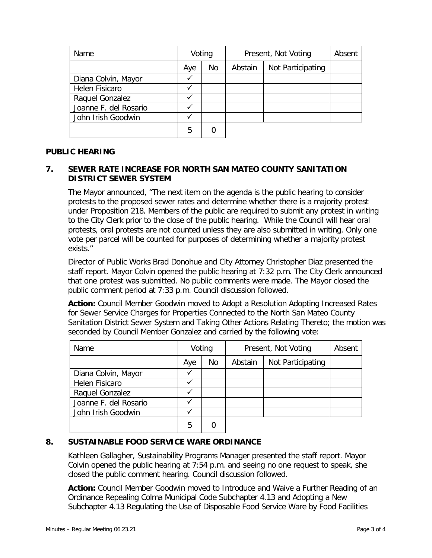| Name                  | Voting |    | Present, Not Voting |                   | Absent |
|-----------------------|--------|----|---------------------|-------------------|--------|
|                       | Aye    | No | Abstain             | Not Participating |        |
| Diana Colvin, Mayor   | √      |    |                     |                   |        |
| Helen Fisicaro        |        |    |                     |                   |        |
| Raquel Gonzalez       |        |    |                     |                   |        |
| Joanne F. del Rosario |        |    |                     |                   |        |
| John Irish Goodwin    |        |    |                     |                   |        |
|                       | 5      |    |                     |                   |        |

## **PUBLIC HEARING**

# **7. SEWER RATE INCREASE FOR NORTH SAN MATEO COUNTY SANITATION DISTRICT SEWER SYSTEM**

The Mayor announced, "The next item on the agenda is the public hearing to consider protests to the proposed sewer rates and determine whether there is a majority protest under Proposition 218. Members of the public are required to submit any protest in writing to the City Clerk prior to the close of the public hearing. While the Council will hear oral protests, oral protests are not counted unless they are also submitted in writing. Only one vote per parcel will be counted for purposes of determining whether a majority protest exists."

Director of Public Works Brad Donohue and City Attorney Christopher Diaz presented the staff report. Mayor Colvin opened the public hearing at 7:32 p.m. The City Clerk announced that one protest was submitted. No public comments were made. The Mayor closed the public comment period at 7:33 p.m. Council discussion followed.

**Action:** Council Member Goodwin moved to Adopt a Resolution Adopting Increased Rates for Sewer Service Charges for Properties Connected to the North San Mateo County Sanitation District Sewer System and Taking Other Actions Relating Thereto; the motion was seconded by Council Member Gonzalez and carried by the following vote:

| Name                  | Voting |    | Present, Not Voting |                   | Absent |
|-----------------------|--------|----|---------------------|-------------------|--------|
|                       | Aye    | No | Abstain             | Not Participating |        |
| Diana Colvin, Mayor   |        |    |                     |                   |        |
| <b>Helen Fisicaro</b> |        |    |                     |                   |        |
| Raquel Gonzalez       |        |    |                     |                   |        |
| Joanne F. del Rosario |        |    |                     |                   |        |
| John Irish Goodwin    |        |    |                     |                   |        |
|                       | 5      |    |                     |                   |        |

# **8. SUSTAINABLE FOOD SERVICE WARE ORDINANCE**

Kathleen Gallagher, Sustainability Programs Manager presented the staff report. Mayor Colvin opened the public hearing at 7:54 p.m. and seeing no one request to speak, she closed the public comment hearing. Council discussion followed.

**Action:** Council Member Goodwin moved to Introduce and Waive a Further Reading of an Ordinance Repealing Colma Municipal Code Subchapter 4.13 and Adopting a New Subchapter 4.13 Regulating the Use of Disposable Food Service Ware by Food Facilities